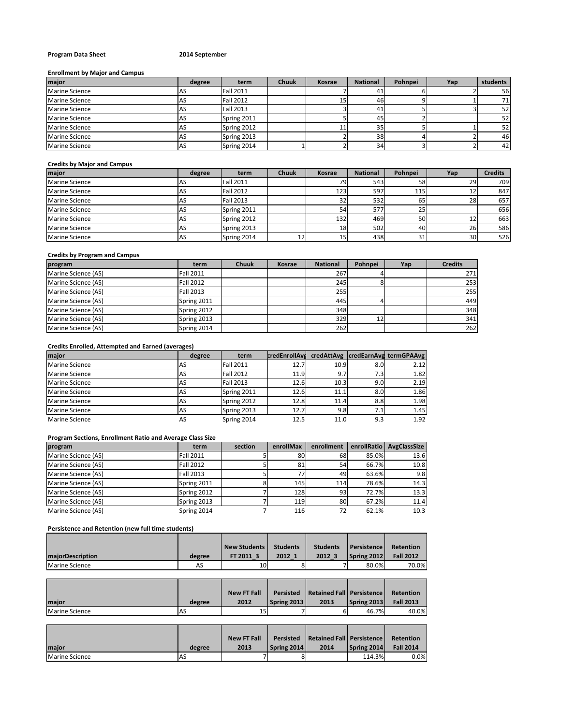# **Program Data Sheet 2014 September**

## **Enrollment by Major and Campus**

| major          | degree | term             | <b>Chuuk</b> | Kosrae | <b>National</b> | Pohnpei | Yap | students |
|----------------|--------|------------------|--------------|--------|-----------------|---------|-----|----------|
| Marine Science |        | <b>Fall 2011</b> |              |        | 41              |         |     | 56       |
| Marine Science |        | <b>Fall 2012</b> |              | 15     | 46              |         |     | 71       |
| Marine Science |        | <b>Fall 2013</b> |              |        | 41              |         |     | 52       |
| Marine Science | чэ     | Spring 2011      |              |        | 45              |         |     | 52       |
| Marine Science | כר     | Spring 2012      |              | 11     | 35              |         |     | 52       |
| Marine Science |        | Spring 2013      |              |        | 38              |         |     | 46       |
| Marine Science | AS     | Spring 2014      |              |        | 34              |         |     | 42       |

#### **Credits by Major and Campus**

| major          | degree | term             | <b>Chuuk</b> | Kosrae          | <b>National</b> | Pohnpei | Yap             | <b>Credits</b> |
|----------------|--------|------------------|--------------|-----------------|-----------------|---------|-----------------|----------------|
| Marine Science | כר     | <b>Fall 2011</b> |              | 79              | 543             | 58      | 29              | 709            |
| Marine Science |        | <b>Fall 2012</b> |              | 123             | 597             | 115     | ᅩ               | 847            |
| Marine Science | АЭ     | <b>Fall 2013</b> |              | 32              | 532             | 65      | 28              | 657            |
| Marine Science | АЭ     | Spring 2011      |              | 54              | 577             | 25      |                 | 656            |
| Marine Science | чэ     | Spring 2012      |              | 132             | 469             | 50      |                 | 663            |
| Marine Science | AS     | Spring 2013      |              | 18              | 502             | 40      | <b>26</b>       | 586            |
| Marine Science | AS     | Spring 2014      |              | 15 <sub>l</sub> | 438             | 31      | 30 <sup>l</sup> | 526            |

# **Credits by Program and Campus**

| program             | term             | <b>Chuuk</b> | <b>Kosrae</b> | <b>National</b> | Pohnpei | Yap | <b>Credits</b> |
|---------------------|------------------|--------------|---------------|-----------------|---------|-----|----------------|
| Marine Science (AS) | <b>Fall 2011</b> |              |               | 267             |         |     | 271            |
| Marine Science (AS) | <b>Fall 2012</b> |              |               | 245             |         |     | 253            |
| Marine Science (AS) | <b>Fall 2013</b> |              |               | 255             |         |     | 255            |
| Marine Science (AS) | Spring 2011      |              |               | 445             |         |     | 449            |
| Marine Science (AS) | Spring 2012      |              |               | 348             |         |     | 348            |
| Marine Science (AS) | Spring 2013      |              |               | 329             | 12      |     | 341            |
| Marine Science (AS) | Spring 2014      |              |               | 262             |         |     | 262            |

# **Credits Enrolled, Attempted and Earned (averages)**

| major                 | degree    | term             | credEnrollAva |      |      | credAttAvg credEarnAvg termGPAAvg |
|-----------------------|-----------|------------------|---------------|------|------|-----------------------------------|
| <b>Marine Science</b> | AS        | <b>Fall 2011</b> | 12.7          | 10.9 | 8.0  | 2.12                              |
| <b>Marine Science</b> | AS        | <b>Fall 2012</b> | 11.9          | 9.7  | 7.31 | 1.82                              |
| <b>Marine Science</b> | AS        | <b>Fall 2013</b> | 12.6          | 10.3 | 9.0  | 2.19                              |
| <b>Marine Science</b> | AS        | Spring 2011      | 12.6          | 11.1 | 8.0  | 1.86                              |
| <b>Marine Science</b> | <b>AS</b> | Spring 2012      | 12.8          | 11.4 | 8.8  | 1.98                              |
| <b>Marine Science</b> | AS        | Spring 2013      | 12.7          | 9.8  | 7.1  | 1.45                              |
| <b>Marine Science</b> | AS        | Spring 2014      | 12.5          | 11.0 | 9.3  | 1.92                              |

# **Program Sections, Enrollment Ratio and Average Class Size**

| program             | term             | section | enrollMax | enrollment |       | enrollRatio   AvgClassSize |
|---------------------|------------------|---------|-----------|------------|-------|----------------------------|
| Marine Science (AS) | <b>Fall 2011</b> |         | 80        | 68         | 85.0% | 13.6                       |
| Marine Science (AS) | <b>Fall 2012</b> |         | 81        | 54         | 66.7% | 10.8                       |
| Marine Science (AS) | Fall 2013        |         | 771       | 49         | 63.6% | 9.8                        |
| Marine Science (AS) | Spring 2011      |         | 145       | 114        | 78.6% | 14.3                       |
| Marine Science (AS) | Spring 2012      |         | 128       | 93         | 72.7% | 13.3                       |
| Marine Science (AS) | Spring 2013      |         | 119       | 80         | 67.2% | 11.4                       |
| Marine Science (AS) | Spring 2014      |         | 116       | 72         | 62.1% | 10.3                       |

# **Persistence and Retention (new full time students)**

|                         |        | <b>New Students</b> | <b>Students</b> | <b>Students</b> | <b>Persistence</b> | Retention        |
|-------------------------|--------|---------------------|-----------------|-----------------|--------------------|------------------|
| <b>majorDescription</b> | degree | FT 2011 3           | 2012 1          | 2012 3          | Spring 2012        | <b>Fall 2012</b> |
| Marine Science          | AS     | 10                  |                 |                 | 80.0%              | 70.0%            |

|                |           | <b>New FT Fall</b> | Persisted   | Retained Fall Persistence |             | Retention        |
|----------------|-----------|--------------------|-------------|---------------------------|-------------|------------------|
| <b>Imaior</b>  | degree    | 2012               | Spring 2013 | 2013                      | Spring 2013 | <b>Fall 2013</b> |
| Marine Science | <b>AS</b> | 15                 |             |                           | 46.7%       | 40.0%            |

|                |           | <b>New FT Fall</b> | Persisted   | Retained Fall   Persistence |             | Retention        |
|----------------|-----------|--------------------|-------------|-----------------------------|-------------|------------------|
| maior          | degree    | 2013               | Spring 2014 | 2014                        | Spring 2014 | <b>Fall 2014</b> |
| Marine Science | <b>AS</b> |                    |             |                             | 114.3%      | $0.0\%$          |